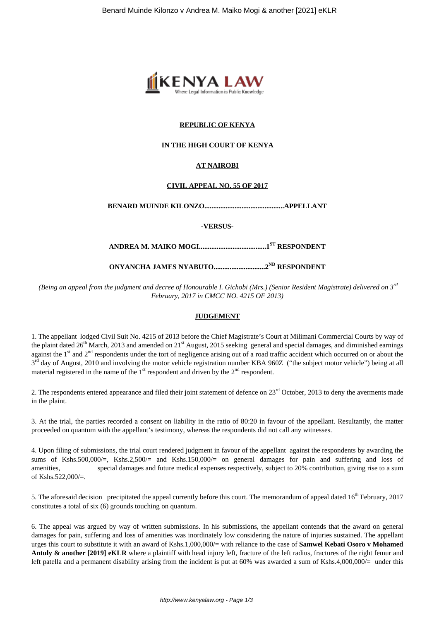

## **REPUBLIC OF KENYA**

## **IN THE HIGH COURT OF KENYA**

# **AT NAIROBI**

## **CIVIL APPEAL NO. 55 OF 2017**

**BENARD MUINDE KILONZO.............................................APPELLANT**

**-VERSUS-**

**ANDREA M. MAIKO MOGI......................................1ST RESPONDENT**

**ONYANCHA JAMES NYABUTO.............................2ND RESPONDENT**

*(Being an appeal from the judgment and decree of Honourable I. Gichobi (Mrs.) (Senior Resident Magistrate) delivered on 3rd February, 2017 in CMCC NO. 4215 OF 2013)*

## **JUDGEMENT**

1. The appellant lodged Civil Suit No. 4215 of 2013 before the Chief Magistrate's Court at Milimani Commercial Courts by way of the plaint dated 26<sup>th</sup> March, 2013 and amended on  $21<sup>st</sup>$  August, 2015 seeking general and special damages, and diminished earnings against the  $1<sup>st</sup>$  and  $2<sup>nd</sup>$  respondents under the tort of negligence arising out of a road traffic accident which occurred on or about the 3<sup>rd</sup> day of August, 2010 and involving the motor vehicle registration number KBA 960Z ("the subject motor vehicle") being at all material registered in the name of the  $1<sup>st</sup>$  respondent and driven by the  $2<sup>nd</sup>$  respondent.

2. The respondents entered appearance and filed their joint statement of defence on  $23<sup>rd</sup>$  October, 2013 to deny the averments made in the plaint.

3. At the trial, the parties recorded a consent on liability in the ratio of 80:20 in favour of the appellant. Resultantly, the matter proceeded on quantum with the appellant's testimony, whereas the respondents did not call any witnesses.

4. Upon filing of submissions, the trial court rendered judgment in favour of the appellant against the respondents by awarding the sums of Kshs.500,000/=, Kshs.2,500/= and Kshs.150,000/= on general damages for pain and suffering and loss of amenities, special damages and future medical expenses respectively, subject to 20% contribution, giving rise to a sum of Kshs.522,000/=.

5. The aforesaid decision precipitated the appeal currently before this court. The memorandum of appeal dated  $16<sup>th</sup>$  February, 2017 constitutes a total of six (6) grounds touching on quantum.

6. The appeal was argued by way of written submissions. In his submissions, the appellant contends that the award on general damages for pain, suffering and loss of amenities was inordinately low considering the nature of injuries sustained. The appellant urges this court to substitute it with an award of Kshs.1,000,000/= with reliance to the case of **Samwel Kebati Osoro v Mohamed Antuly & another [2019] eKLR** where a plaintiff with head injury left, fracture of the left radius, fractures of the right femur and left patella and a permanent disability arising from the incident is put at  $60\%$  was awarded a sum of Kshs.4,000,000/= under this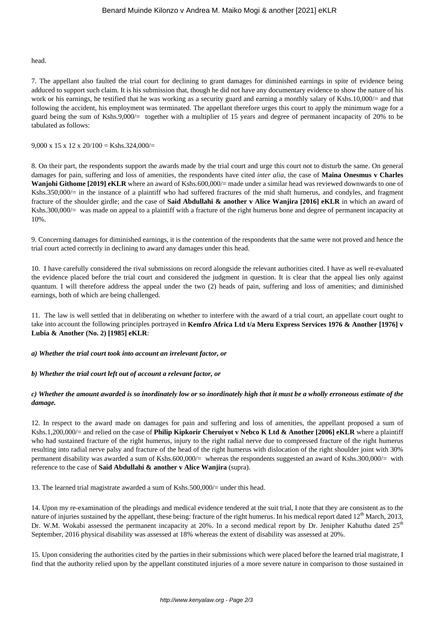head.

7. The appellant also faulted the trial court for declining to grant damages for diminished earnings in spite of evidence being adduced to support such claim. It is his submission that, though he did not have any documentary evidence to show the nature of his work or his earnings, he testified that he was working as a security guard and earning a monthly salary of Kshs.10,000/= and that following the accident, his employment was terminated. The appellant therefore urges this court to apply the minimum wage for a guard being the sum of Kshs.9,000/= together with a multiplier of 15 years and degree of permanent incapacity of 20% to be tabulated as follows:

9.000 x 15 x 12 x 20/100 = Kshs.324,000/=

8. On their part, the respondents support the awards made by the trial court and urge this court not to disturb the same. On general damages for pain, suffering and loss of amenities, the respondents have cited *inter alia*, the case of **Maina Onesmus v Charles Wanjohi Githome [2019] eKLR** where an award of Kshs.600,000/= made under a similar head was reviewed downwards to one of Kshs.350,000/= in the instance of a plaintiff who had suffered fractures of the mid shaft humerus, and condyles, and fragment fracture of the shoulder girdle; and the case of **Said Abdullahi & another v Alice Wanjira [2016] eKLR** in which an award of Kshs.300,000/= was made on appeal to a plaintiff with a fracture of the right humerus bone and degree of permanent incapacity at 10%.

9. Concerning damages for diminished earnings, it is the contention of the respondents that the same were not proved and hence the trial court acted correctly in declining to award any damages under this head.

10. I have carefully considered the rival submissions on record alongside the relevant authorities cited. I have as well re-evaluated the evidence placed before the trial court and considered the judgment in question. It is clear that the appeal lies only against quantum. I will therefore address the appeal under the two (2) heads of pain, suffering and loss of amenities; and diminished earnings, both of which are being challenged.

11. The law is well settled that in deliberating on whether to interfere with the award of a trial court, an appellate court ought to take into account the following principles portrayed in **Kemfro Africa Ltd t/a Meru Express Services 1976 & Another [1976] v Lubia & Another (No. 2) [1985] eKLR**:

*a) Whether the trial court took into account an irrelevant factor, or* 

*b) Whether the trial court left out of account a relevant factor, or* 

## *c) Whether the amount awarded is so inordinately low or so inordinately high that it must be a wholly erroneous estimate of the damage.*

12. In respect to the award made on damages for pain and suffering and loss of amenities, the appellant proposed a sum of Kshs.1,200,000/= and relied on the case of **Philip Kipkorir Cheruiyot v Nebco K Ltd & Another [2006] eKLR** where a plaintiff who had sustained fracture of the right humerus, injury to the right radial nerve due to compressed fracture of the right humerus resulting into radial nerve palsy and fracture of the head of the right humerus with dislocation of the right shoulder joint with 30% permanent disability was awarded a sum of Kshs.600,000/= whereas the respondents suggested an award of Kshs.300,000/= with reference to the case of **Said Abdullahi & another v Alice Wanjira** (supra).

13. The learned trial magistrate awarded a sum of Kshs.500,000/= under this head.

14. Upon my re-examination of the pleadings and medical evidence tendered at the suit trial, I note that they are consistent as to the nature of injuries sustained by the appellant, these being: fracture of the right humerus. In his medical report dated 12<sup>th</sup> March, 2013, Dr. W.M. Wokabi assessed the permanent incapacity at 20%. In a second medical report by Dr. Jenipher Kahuthu dated  $25<sup>th</sup>$ September, 2016 physical disability was assessed at 18% whereas the extent of disability was assessed at 20%.

15. Upon considering the authorities cited by the parties in their submissions which were placed before the learned trial magistrate, I find that the authority relied upon by the appellant constituted injuries of a more severe nature in comparison to those sustained in